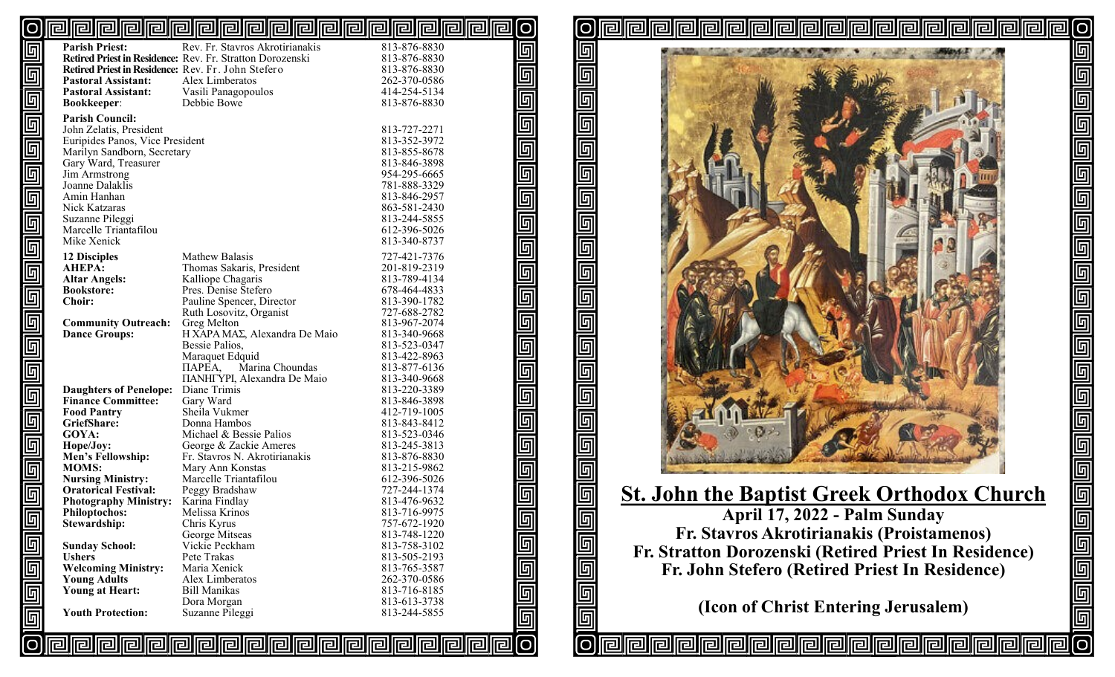#### <u>pipipipipipipipipipipipipipipipipi</u> lo lol

| 回                       | <b>Parish Priest:</b>                              | Rev. Fr. Stavros Akrotirianakis                           | 813-876-8830                 |
|-------------------------|----------------------------------------------------|-----------------------------------------------------------|------------------------------|
|                         |                                                    | Retired Priest in Residence: Rev. Fr. Stratton Dorozenski | 813-876-8830                 |
|                         | Retired Priest in Residence: Rev. Fr. John Stefero |                                                           | 813-876-8830                 |
| 回                       | <b>Pastoral Assistant:</b>                         | Alex Limberatos                                           | 262-370-0586                 |
|                         | <b>Pastoral Assistant:</b>                         | Vasili Panagopoulos                                       | 414-254-5134                 |
| 回                       | <b>Bookkeeper:</b>                                 | Debbie Bowe                                               | 813-876-8830                 |
|                         | <b>Parish Council:</b>                             |                                                           |                              |
| 画                       |                                                    |                                                           |                              |
|                         | John Zelatis, President                            |                                                           | 813-727-2271                 |
|                         | Euripides Panos, Vice President                    |                                                           | 813-352-3972<br>813-855-8678 |
| Ō                       | Marilyn Sandborn, Secretary                        |                                                           |                              |
|                         | Gary Ward, Treasurer                               |                                                           | 813-846-3898                 |
|                         | Jim Armstrong                                      |                                                           | 954-295-6665                 |
| <u>ga</u>               | Joanne Dalaklis                                    |                                                           | 781-888-3329                 |
|                         | Amin Hanhan                                        |                                                           | 813-846-2957                 |
|                         | Nick Katzaras                                      |                                                           | 863-581-2430                 |
| 回                       | Suzanne Pileggi                                    |                                                           | 813-244-5855                 |
|                         | Marcelle Triantafilou<br>Mike Xenick               |                                                           | 612-396-5026                 |
| 画画                      |                                                    |                                                           | 813-340-8737                 |
|                         | <b>12 Disciples</b>                                | Mathew Balasis                                            | 727-421-7376                 |
|                         | <b>AHEPA:</b>                                      | Thomas Sakaris, President                                 | 201-819-2319                 |
|                         | <b>Altar Angels:</b>                               | Kalliope Chagaris                                         | 813-789-4134                 |
|                         | <b>Bookstore:</b>                                  | Pres. Denise Stefero                                      | 678-464-4833                 |
| $\Box$                  | <b>Choir:</b>                                      | Pauline Spencer, Director                                 | 813-390-1782                 |
|                         |                                                    | Ruth Losovitz, Organist                                   | 727-688-2782                 |
| 回                       | <b>Community Outreach:</b>                         | Greg Melton                                               | 813-967-2074                 |
|                         | <b>Dance Groups:</b>                               | H XAPA MAΣ, Alexandra De Maio                             | 813-340-9668                 |
| 画                       |                                                    | Bessie Palios,                                            | 813-523-0347                 |
|                         |                                                    | Maraquet Edquid                                           | 813-422-8963                 |
| 画                       |                                                    | Marina Choundas<br>ПАРЕА,                                 | 813-877-6136                 |
|                         |                                                    | <b>ΠΑΝΗΓΥΡΙ, Alexandra De Maio</b>                        | 813-340-9668                 |
|                         | <b>Daughters of Penelope:</b>                      | Diane Trimis                                              | 813-220-3389                 |
| 回                       | <b>Finance Committee:</b>                          | Gary Ward                                                 | 813-846-3898                 |
|                         | <b>Food Pantry</b>                                 | Sheila Vukmer                                             | 412-719-1005                 |
| $\Box$                  | GriefShare:                                        | Donna Hambos                                              | 813-843-8412                 |
|                         | GOYA:                                              | Michael & Bessie Palios                                   | 813-523-0346                 |
| $\overline{\mathbb{F}}$ | Hope/Joy:                                          | George & Zackie Ameres                                    | 813-245-3813                 |
|                         | Men's Fellowship:                                  | Fr. Stavros N. Akrotirianakis                             | 813-876-8830                 |
| $\Box$                  | <b>MOMS:</b>                                       | Mary Ann Konstas                                          | 813-215-9862                 |
|                         | <b>Nursing Ministry:</b>                           | Marcelle Triantafilou                                     | 612-396-5026                 |
|                         | <b>Oratorical Festival:</b>                        | Peggy Bradshaw                                            | 727-244-1374                 |
| 回                       | <b>Photography Ministry:</b>                       | Karina Findlay                                            | 813-476-9632                 |
|                         | <b>Philoptochos:</b>                               | Melissa Krinos                                            | 813-716-9975                 |
| 回                       | Stewardship:                                       | Chris Kyrus                                               | 757-672-1920                 |
|                         |                                                    | George Mitseas                                            | 813-748-1220                 |
|                         | <b>Sunday School:</b>                              | Vickie Peckham                                            | 813-758-3102                 |
|                         | <b>Ushers</b>                                      | Pete Trakas                                               | 813-505-2193                 |
|                         | <b>Welcoming Ministry:</b>                         | Maria Xenick                                              | 813-765-3587                 |
|                         | <b>Young Adults</b>                                | Alex Limberatos                                           | 262-370-0586                 |
|                         | <b>Young at Heart:</b>                             | <b>Bill Manikas</b>                                       | 813-716-8185                 |
|                         |                                                    | Dora Morgan                                               | 813-613-3738                 |
| eileileile              | <b>Youth Protection:</b>                           | Suzanne Pileggi                                           | 813-244-5855                 |
|                         |                                                    |                                                           |                              |
|                         |                                                    |                                                           |                              |
|                         |                                                    |                                                           | <b>PPPPPPPPPPPPP</b>         |



回

匠

回

回

回

 $\overline{\mathbb{F}}$ 

 $\overline{\mathbb{F}}$ 

 $\overline{\mathbb{F}}$ 

回

回

回

 $\overline{\mathbb{F}}$ 

 $\overline{\mathbb{F}}$ 

<u>同</u>

回

団

 $\overline{\mathbb{F}}$ 

同

回

ſΟ

 $\overline{\mathbb{F}}$ 

<u>回同同</u>

 $\overline{\mathbb{F}}$ 

 $\overline{\mathbb{F}}$ 

 $\overline{\mathbb{F}}$ 

 $\overline{\mathbb{F}}$ 

 $\overline{\mathbb{F}}$ 

ſоl

lO|

elelele

<u>alalalalala</u>

<u>ල</u>

rallalla

# **St. John the Baptist Greek Orthodox Church**

**April 17, 2022 - Palm Sunday Fr. Stavros Akrotirianakis (Proistamenos) Fr. Stratton Dorozenski (Retired Priest In Residence) Fr. John Stefero (Retired Priest In Residence)**

**(Icon of Christ Entering Jerusalem)**

rellirell

**propropropr**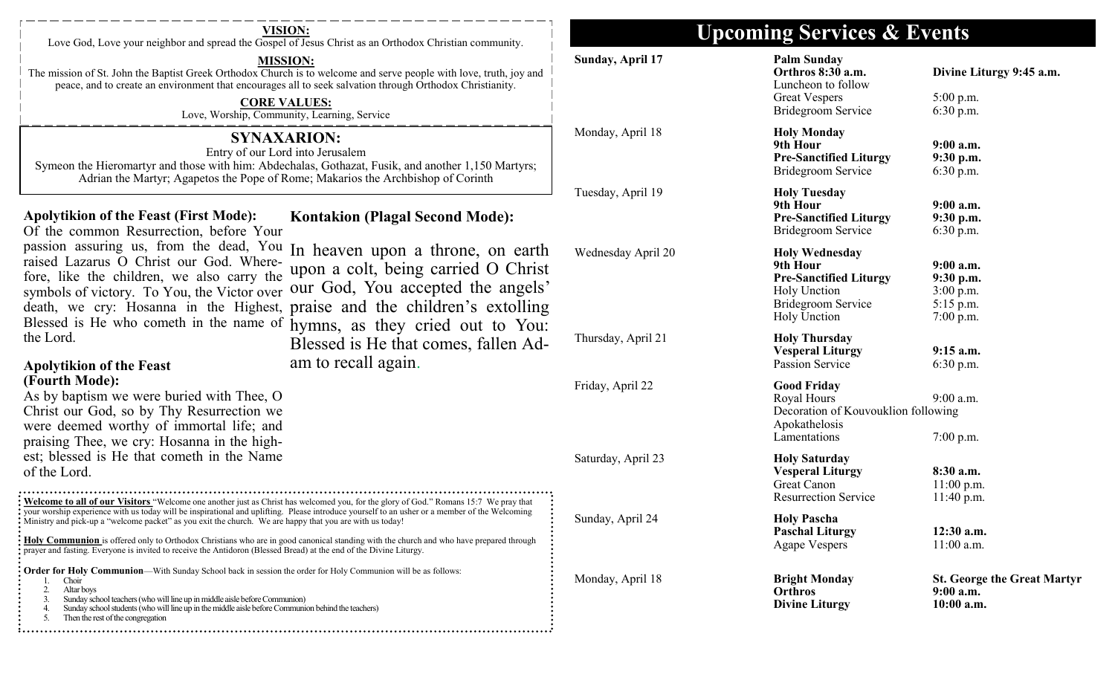| <b>VISION:</b><br>Love God, Love your neighbor and spread the Gospel of Jesus Christ as an Orthodox Christian community.                                                                                                                                                                                                                                                                                                                                                                                                             | <b>Upcoming Services &amp; Events</b> |                                                                                                                          |                                                                       |
|--------------------------------------------------------------------------------------------------------------------------------------------------------------------------------------------------------------------------------------------------------------------------------------------------------------------------------------------------------------------------------------------------------------------------------------------------------------------------------------------------------------------------------------|---------------------------------------|--------------------------------------------------------------------------------------------------------------------------|-----------------------------------------------------------------------|
| <b>MISSION:</b><br>The mission of St. John the Baptist Greek Orthodox Church is to welcome and serve people with love, truth, joy and<br>peace, and to create an environment that encourages all to seek salvation through Orthodox Christianity.                                                                                                                                                                                                                                                                                    | <b>Sunday, April 17</b>               | <b>Palm Sunday</b><br>Orthros 8:30 a.m.<br>Luncheon to follow                                                            | Divine Liturgy 9:45 a.m.                                              |
| <b>CORE VALUES:</b><br>Love, Worship, Community, Learning, Service                                                                                                                                                                                                                                                                                                                                                                                                                                                                   |                                       | <b>Great Vespers</b><br><b>Bridegroom Service</b>                                                                        | $5:00$ p.m.<br>$6:30$ p.m.                                            |
| <b>SYNAXARION:</b><br>Entry of our Lord into Jerusalem<br>Symeon the Hieromartyr and those with him: Abdechalas, Gothazat, Fusik, and another 1,150 Martyrs;<br>Adrian the Martyr; Agapetos the Pope of Rome; Makarios the Archbishop of Corinth                                                                                                                                                                                                                                                                                     | Monday, April 18                      | <b>Holy Monday</b><br>9th Hour<br><b>Pre-Sanctified Liturgy</b><br><b>Bridegroom Service</b>                             | $9:00$ a.m.<br>9:30 p.m.<br>$6:30$ p.m.                               |
| <b>Apolytikion of the Feast (First Mode):</b><br><b>Kontakion (Plagal Second Mode):</b><br>Of the common Resurrection, before Your                                                                                                                                                                                                                                                                                                                                                                                                   | Tuesday, April 19                     | <b>Holy Tuesday</b><br>9th Hour<br><b>Pre-Sanctified Liturgy</b><br><b>Bridegroom Service</b>                            | $9:00$ a.m.<br>$9:30$ p.m.<br>$6:30$ p.m.                             |
| passion assuring us, from the dead, You In heaven upon a throne, on earth<br>raised Lazarus O Christ our God. Where-<br>upon a colt, being carried O Christ<br>fore, like the children, we also carry the<br>symbols of victory. To You, the Victor over our God, You accepted the angels'<br>death, we cry: Hosanna in the Highest, praise and the children's extolling<br>Blessed is He who cometh in the name of<br>hymns, as they cried out to You:                                                                              | Wednesday April 20                    | <b>Holy Wednesday</b><br>9th Hour<br><b>Pre-Sanctified Liturgy</b><br>Holy Unction<br>Bridegroom Service<br>Holy Unction | $9:00$ a.m.<br>9:30 p.m.<br>$3:00$ p.m.<br>$5:15$ p.m.<br>$7:00$ p.m. |
| the Lord.<br>Blessed is He that comes, fallen Ad-<br>am to recall again.<br><b>Apolytikion of the Feast</b>                                                                                                                                                                                                                                                                                                                                                                                                                          | Thursday, April 21                    | <b>Holy Thursday</b><br><b>Vesperal Liturgy</b><br>Passion Service                                                       | $9:15$ a.m.<br>$6:30$ p.m.                                            |
| (Fourth Mode):<br>As by baptism we were buried with Thee, O<br>Christ our God, so by Thy Resurrection we<br>were deemed worthy of immortal life; and<br>praising Thee, we cry: Hosanna in the high-                                                                                                                                                                                                                                                                                                                                  | Friday, April 22                      | <b>Good Friday</b><br>Royal Hours<br>Decoration of Kouvouklion following<br>Apokathelosis<br>Lamentations                | 9:00 a.m.<br>$7:00$ p.m.                                              |
| est; blessed is He that cometh in the Name<br>of the Lord.<br>Welcome to all of our Visitors "Welcome one another just as Christ has welcomed you, for the glory of God." Romans 15:7 We pray that                                                                                                                                                                                                                                                                                                                                   | Saturday, April 23                    | <b>Holy Saturday</b><br><b>Vesperal Liturgy</b><br><b>Great Canon</b><br><b>Resurrection Service</b>                     | 8:30 a.m.<br>$11:00$ p.m.<br>$11:40$ p.m.                             |
| your worship experience with us today will be inspirational and uplifting. Please introduce yourself to an usher or a member of the Welcoming<br>• Ministry and pick-up a "welcome packet" as you exit the church. We are happy that you are with us today!<br><b>Holy Communion</b> is offered only to Orthodox Christians who are in good canonical standing with the church and who have prepared through<br>t prayer and fasting. Everyone is invited to receive the Antidoron (Blessed Bread) at the end of the Divine Liturgy. | Sunday, April 24                      | <b>Holy Pascha</b><br><b>Paschal Liturgy</b><br><b>Agape Vespers</b>                                                     | 12:30 a.m.<br>$11:00$ a.m.                                            |
| <b>Corder for Holy Communion</b> —With Sunday School back in session the order for Holy Communion will be as follows:<br>Choir<br>Altar boys<br>2.<br>Sunday school teachers (who will line up in middle aisle before Communion)<br>Sunday school students (who will line up in the middle aisle before Communion behind the teachers)<br>Then the rest of the congregation<br>5.<br>.                                                                                                                                               | Monday, April 18                      | <b>Bright Monday</b><br><b>Orthros</b><br><b>Divine Liturgy</b>                                                          | <b>St. George the Great Martyr</b><br>$9:00$ a.m.<br>10:00 a.m.       |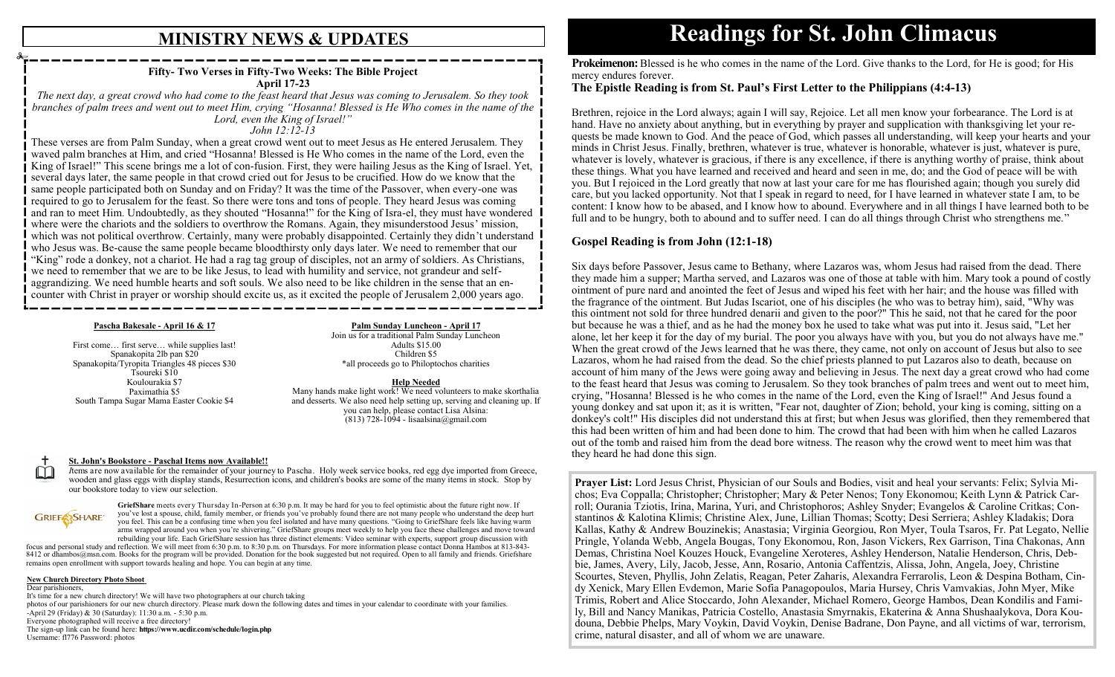# **MINISTRY NEWS & UPDATES**

## **Fifty- Two Verses in Fifty-Two Weeks: The Bible Project April 17-23**

*The next day, a great crowd who had come to the feast heard that Jesus was coming to Jerusalem. So they took branches of palm trees and went out to meet Him, crying "Hosanna! Blessed is He Who comes in the name of the Lord, even the King of Israel!"* 

## *John 12:12-13*

These verses are from Palm Sunday, when a great crowd went out to meet Jesus as He entered Jerusalem. They waved palm branches at Him, and cried "Hosanna! Blessed is He Who comes in the name of the Lord, even the King of Israel!" This scene brings me a lot of con-fusion. First, they were hailing Jesus as the King of Israel. Yet, several days later, the same people in that crowd cried out for Jesus to be crucified. How do we know that the same people participated both on Sunday and on Friday? It was the time of the Passover, when every-one was required to go to Jerusalem for the feast. So there were tons and tons of people. They heard Jesus was coming and ran to meet Him. Undoubtedly, as they shouted "Hosanna!" for the King of Isra-el, they must have wondered where were the chariots and the soldiers to overthrow the Romans. Again, they misunderstood Jesus' mission, which was not political overthrow. Certainly, many were probably disappointed. Certainly they didn't understand who Jesus was. Be-cause the same people became bloodthirsty only days later. We need to remember that our "King" rode a donkey, not a chariot. He had a rag tag group of disciples, not an army of soldiers. As Christians, we need to remember that we are to be like Jesus, to lead with humility and service, not grandeur and selfaggrandizing. We need humble hearts and soft souls. We also need to be like children in the sense that an encounter with Christ in prayer or worship should excite us, as it excited the people of Jerusalem 2,000 years ago.

#### **Pascha Bakesale - April 16 & 17**

First come… first serve… while supplies last! Spanakopita 2lb pan \$20 Spanakopita/Tyropita Triangles 48 pieces \$30 Tsoureki \$10 Koulourakia \$7 Paximathia \$5 South Tampa Sugar Mama Easter Cookie \$4

**Palm Sunday Luncheon - April 17** Join us for a traditional Palm Sunday Luncheon Adults \$15.00 Children \$5 \*all proceeds go to Philoptochos charities

**Help Needed** Many hands make light work! We need volunteers to make skorthalia and desserts. We also need help setting up, serving and cleaning up. If you can help, please contact Lisa Alsina:  $(813)$  728-1094 - lisaalsina@gmail.com

#### **St. John's Bookstore - Paschal Items now Available!!**

*I*tems are now available for the remainder of your journey to Pascha. Holy week service books, red egg dye imported from Greece, wooden and glass eggs with display stands, Resurrection icons, and children's books are some of the many items in stock. Stop by our bookstore today to view our selection.

**GRIEFASHARE** 

GriefShare meets every Thursday In-Person at 6:30 p.m. It may be hard for you to feel optimistic about the future right now. If you've lost a spouse, child, family member, or friends you've probably found there are not many people who understand the deep hurt you feel. This can be a confusing time when you feel isolated and have many questions. "Going to GriefShare feels like having warm arms wrapped around you when you're shivering." GriefShare groups meet weekly to help you face these challenges and move toward rebuilding your life. Each GriefShare session has three distinct elements: Video seminar with experts, support group discussion with

focus and personal study and reflection. We will meet from 6:30 p.m. to 8:30 p.m. on Thursdays. For more information please contact Donna Hambos at 813-843- 8412 or dhambos@msn.com. Books for the program will be provided. Donation for the book suggested but not required. Open to all family and friends. Griefshare remains open enrollment with support towards healing and hope. You can begin at any time.

### **New Church Directory Photo Shoot**

Dear parishioners, It's time for a new church directory! We will have two photographers at our church taking photos of our parishioners for our new church directory. Please mark down the following dates and times in your calendar to coordinate with your families. -April 29 (Friday) & 30 (Saturday): 11:30 a.m. - 5:30 p.m. Everyone photographed will receive a free directory! The sign-up link can be found here: **https://www.ucdir.com/schedule/login.php** Username: fl776 Password: photos

# **Readings for St. John Climacus**

**Prokeimenon:** Blessed is he who comes in the name of the Lord. Give thanks to the Lord, for He is good; for His mercy endures forever.

**The Epistle Reading is from St. Paul's First Letter to the Philippians (4:4-13)**

Brethren, rejoice in the Lord always; again I will say, Rejoice. Let all men know your forbearance. The Lord is at hand. Have no anxiety about anything, but in everything by prayer and supplication with thanksgiving let your requests be made known to God. And the peace of God, which passes all understanding, will keep your hearts and your minds in Christ Jesus. Finally, brethren, whatever is true, whatever is honorable, whatever is just, whatever is pure, whatever is lovely, whatever is gracious, if there is any excellence, if there is anything worthy of praise, think about these things. What you have learned and received and heard and seen in me, do; and the God of peace will be with you. But I rejoiced in the Lord greatly that now at last your care for me has flourished again; though you surely did care, but you lacked opportunity. Not that I speak in regard to need, for I have learned in whatever state I am, to be content: I know how to be abased, and I know how to abound. Everywhere and in all things I have learned both to be full and to be hungry, both to abound and to suffer need. I can do all things through Christ who strengthens me."

## **Gospel Reading is from John (12:1-18)**

Six days before Passover, Jesus came to Bethany, where Lazaros was, whom Jesus had raised from the dead. There they made him a supper; Martha served, and Lazaros was one of those at table with him. Mary took a pound of costly ointment of pure nard and anointed the feet of Jesus and wiped his feet with her hair; and the house was filled with the fragrance of the ointment. But Judas Iscariot, one of his disciples (he who was to betray him), said, "Why was this ointment not sold for three hundred denarii and given to the poor?" This he said, not that he cared for the poor but because he was a thief, and as he had the money box he used to take what was put into it. Jesus said, "Let her alone, let her keep it for the day of my burial. The poor you always have with you, but you do not always have me." When the great crowd of the Jews learned that he was there, they came, not only on account of Jesus but also to see Lazaros, whom he had raised from the dead. So the chief priests planned to put Lazaros also to death, because on account of him many of the Jews were going away and believing in Jesus. The next day a great crowd who had come to the feast heard that Jesus was coming to Jerusalem. So they took branches of palm trees and went out to meet him, crying, "Hosanna! Blessed is he who comes in the name of the Lord, even the King of Israel!" And Jesus found a young donkey and sat upon it; as it is written, "Fear not, daughter of Zion; behold, your king is coming, sitting on a donkey's colt!" His disciples did not understand this at first; but when Jesus was glorified, then they remembered that this had been written of him and had been done to him. The crowd that had been with him when he called Lazaros out of the tomb and raised him from the dead bore witness. The reason why the crowd went to meet him was that they heard he had done this sign.

**Prayer List:** Lord Jesus Christ, Physician of our Souls and Bodies, visit and heal your servants: Felix; Sylvia Michos; Eva Coppalla; Christopher; Christopher; Mary & Peter Nenos; Tony Ekonomou; Keith Lynn & Patrick Carroll; Ourania Tziotis, Irina, Marina, Yuri, and Christophoros; Ashley Snyder; Evangelos & Caroline Critkas; Constantinos & Kalotina Klimis; Christine Alex, June, Lillian Thomas; Scotty; Desi Serriera; Ashley Kladakis; Dora Kallas, Kathy & Andrew Bouzinekis; Anastasia; Virginia Georgiou, Ron Myer, Toula Tsaros, Fr. Pat Legato, Nellie Pringle, Yolanda Webb, Angela Bougas, Tony Ekonomou, Ron, Jason Vickers, Rex Garrison, Tina Chakonas, Ann Demas, Christina Noel Kouzes Houck, Evangeline Xeroteres, Ashley Henderson, Natalie Henderson, Chris, Debbie, James, Avery, Lily, Jacob, Jesse, Ann, Rosario, Antonia Caffentzis, Alissa, John, Angela, Joey, Christine Scourtes, Steven, Phyllis, John Zelatis, Reagan, Peter Zaharis, Alexandra Ferrarolis, Leon & Despina Botham, Cindy Xenick, Mary Ellen Evdemon, Marie Sofia Panagopoulos, Maria Hursey, Chris Vamvakias, John Myer, Mike Trimis, Robert and Alice Stoccardo, John Alexander, Michael Romero, George Hambos, Dean Kondilis and Family, Bill and Nancy Manikas, Patricia Costello, Anastasia Smyrnakis, Ekaterina & Anna Shushaalykova, Dora Koudouna, Debbie Phelps, Mary Voykin, David Voykin, Denise Badrane, Don Payne, and all victims of war, terrorism, crime, natural disaster, and all of whom we are unaware.